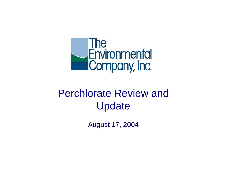

# Perchlorate Review andUpdate

August 17, 2004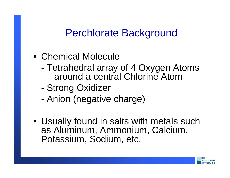#### Perchlorate Background

- Chemical Molecule
	- Tetrahedral array of 4 Oxygen Atoms around a central Chlorine Atom
	- Strong Oxidizer
	- Anion (negative charge)
- Usually found in salts with metals such as Aluminum, Ammonium, Calcium, Potassium, Sodium, etc.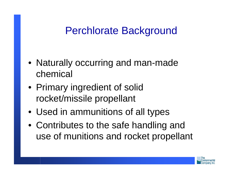### Perchlorate Background

- Naturally occurring and man-made chemical
- Primary ingredient of solid rocket/missile propellant
- Used in ammunitions of all types
- Contributes to the safe handling and use of munitions and rocket propellant

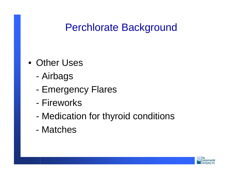### Perchlorate Background

- Other Uses
	- Airbags
	- Emergency Flares
	- Fireworks
	- Medication for thyroid conditions
	- Matches

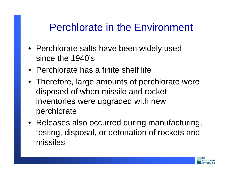### Perchlorate in the Environment

- Perchlorate salts have been widely used since the 1940's
- Perchlorate has a finite shelf life
- Therefore, large amounts of perchlorate were disposed of when missile and rocket inventories were upgraded with new perchlorate
- Releases also occurred during manufacturing, testing, disposal, or detonation of rockets and missiles

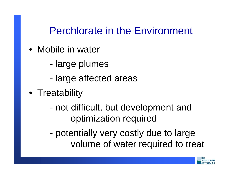Perchlorate in the Environment

- Mobile in water
	- large plumes
	- large affected areas
- Treatability
	- not difficult, but development and optimization required
	- potentially very costly due to large volume of water required to treat

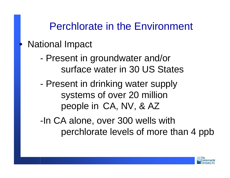#### Perchlorate in the Environment

#### • National Impact

- Present in groundwater and/or surface water in 30 US States
- Present in drinking water supply systems of over 20 million people in CA, NV, & AZ
- -In CA alone, over 300 wells with perchlorate levels of more than 4 ppb

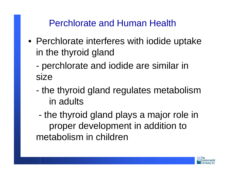Perchlorate and Human Health

- Perchlorate interferes with iodide uptake in the thyroid gland
	- perchlorate and iodide are similar in size
	- the thyroid gland regulates metabolism in adults
	- the thyroid gland plays a major role in proper development in addition to metabolism in children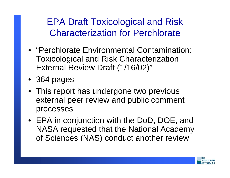EPA Draft Toxicological and Risk Characterization for Perchlorate

- "Perchlorate Environmental Contamination: Toxicological and Risk Characterization External Review Draft (1/16/02)"
- 364 pages
- This report has undergone two previous external peer review and public comment processes
- EPA in conjunction with the DoD, DOE, and NASA requested that the National Academy of Sciences (NAS) conduct another review

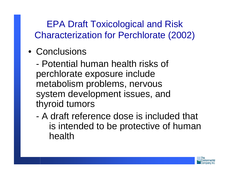EPA Draft Toxicological and Risk Characterization for Perchlorate (2002)

• Conclusions

- Potential human health risks of perchlorate exposure include metabolism problems, nervous system development issues, and thyroid tumors

- A draft reference dose is included that is intended to be protective of human health

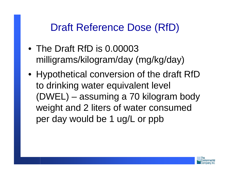## Draft Reference Dose (RfD)

- The Draft RfD is 0.00003 milligrams/kilogram/day (mg/kg/day)
- Hypothetical conversion of the draft RfD to drinking water equivalent level (DWEL) – assuming a 70 kilogram body weight and 2 liters of water consumed per day would be 1 ug/L or ppb

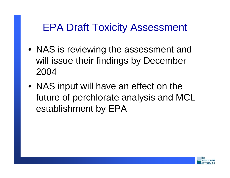### EPA Draft Toxicity Assessment

- NAS is reviewing the assessment and will issue their findings by December 2004
- NAS input will have an effect on the future of perchlorate analysis and MCL establishment by EPA

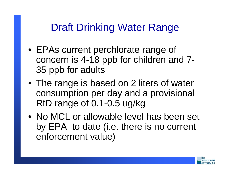## Draft Drinking Water Range

- EPAs current perchlorate range of concern is 4-18 ppb for children and 7- 35 ppb for adults
- The range is based on 2 liters of water consumption per day and a provisional RfD range of 0.1-0.5 ug/kg
- No MCL or allowable level has been set by EPA to date (i.e. there is no current enforcement value)

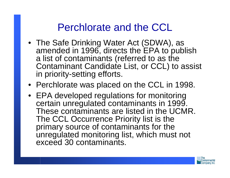#### Perchlorate and the CCL

- The Safe Drinking Water Act (SDWA), as amended in 1996, directs the EPA to publish a list of contaminants (referred to as the Contaminant Candidate List, or CCL) to assist in priority-setting efforts.
- Perchlorate was placed on the CCL in 1998.
- EPA developed regulations for monitoring certain unregulated contaminants in 1999. These contaminants are listed in the UCMR. The CCL Occurrence Priority list is the primary source of contaminants for the unregulated monitoring list, which must not exceed 30 contaminants.

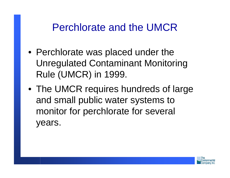#### Perchlorate and the UMCR

- Perchlorate was placed under the Unregulated Contaminant Monitoring Rule (UMCR) in 1999.
- The UMCR requires hundreds of large and small public water systems to monitor for perchlorate for several years.

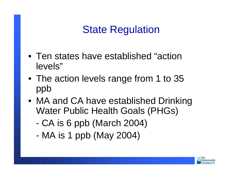# State Regulation

- Ten states have established "actionlevels"
- The action levels range from 1 to 35 ppb
- MA and CA have established Drinking Water Public Health Goals (PHGs)
	- CA is 6 ppb (March 2004)
	- MA is 1 ppb (May 2004)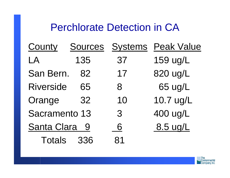#### Perchlorate Detection in CA

| <b>County</b>        | <b>Sources</b> |    | <b>Systems</b> Peak Value |
|----------------------|----------------|----|---------------------------|
| LA                   | 135            | 37 | 159 ug/L                  |
| San Bern.            | 82             | 17 | 820 ug/L                  |
| <b>Riverside</b>     | 65             | 8  | 65 ug/L                   |
| Orange               | 32             | 10 | 10.7 ug/L                 |
| <b>Sacramento 13</b> |                | 3  | 400 ug/L                  |
| <b>Santa Clara</b>   | 9              | 6  | 8.5 ug/L                  |
| <b>Totals</b>        | 336            | 81 |                           |

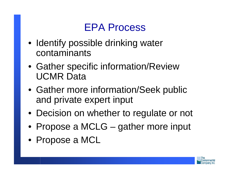# EPA Process

- Identify possible drinking water contaminants
- Gather specific information/Review UCMR Data
- Gather more information/Seek public and private expert input
- Decision on whether to regulate or not
- Propose a MCLG gather more input
- Propose a MCL

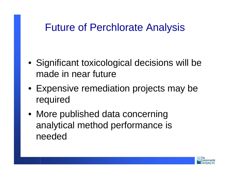#### Future of Perchlorate Analysis

- Significant toxicological decisions will be made in near future
- Expensive remediation projects may be required
- More published data concerning analytical method performance is needed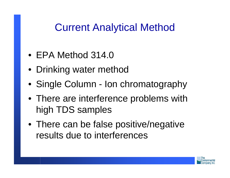#### Current Analytical Method

- EPA Method 314.0
- Drinking water method
- Single Column Ion chromatography
- There are interference problems with high TDS samples
- There can be false positive/negative results due to interferences

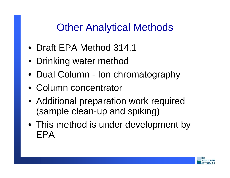- Draft EPA Method 314.1
- Drinking water method
- Dual Column Ion chromatography
- Column concentrator
- Additional preparation work required (sample clean-up and spiking)
- This method is under development by EPA

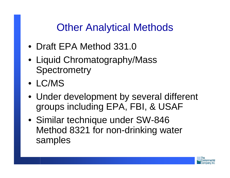- Draft EPA Method 331.0
- Liquid Chromatography/Mass **Spectrometry**
- LC/MS
- Under development by several different groups including EPA, FBI, & USAF
- Similar technique under SW-846 Method 8321 for non-drinking water samples

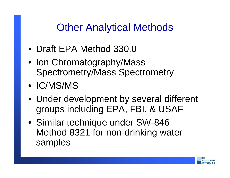- Draft EPA Method 330.0
- Ion Chromatography/Mass Spectrometry/Mass Spectrometry
- IC/MS/MS
- Under development by several different groups including EPA, FBI, & USAF
- Similar technique under SW-846 Method 8321 for non-drinking water samples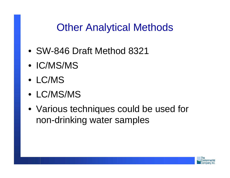- SW-846 Draft Method 8321
- IC/MS/MS
- LC/MS
- LC/MS/MS
- Various techniques could be used for non-drinking water samples

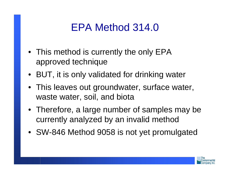## EPA Method 314.0

- This method is currently the only EPA approved technique
- BUT, it is only validated for drinking water
- This leaves out groundwater, surface water, waste water, soil, and biota
- Therefore, a large number of samples may be currently analyzed by an invalid method
- SW-846 Method 9058 is not yet promulgated

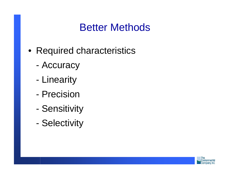### Better Methods

- Required characteristics
	- Accuracy
	- Linearity
	- Precision
	- Sensitivity
	- Selectivity

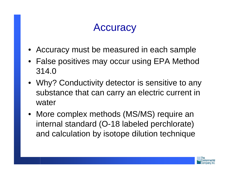# **Accuracy**

- Accuracy must be measured in each sample
- False positives may occur using EPA Method 314.0
- Why? Conductivity detector is sensitive to any substance that can carry an electric current in water
- More complex methods (MS/MS) require an internal standard (O-18 labeled perchlorate) and calculation by isotope dilution technique

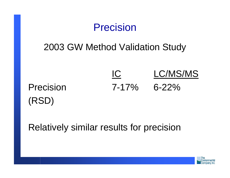

Relatively similar results for precision

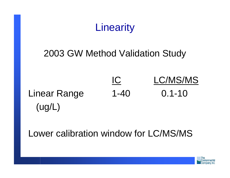

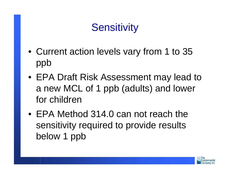# **Sensitivity**

- Current action levels vary from 1 to 35 ppb
- EPA Draft Risk Assessment may lead to a new MCL of 1 ppb (adults) and lower for children
- EPA Method 314.0 can not reach the sensitivity required to provide results below 1 ppb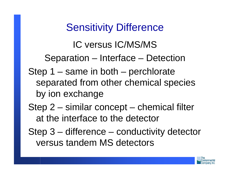# Sensitivity Difference

IC versus IC/MS/MSSeparation – Interface – Detection Step 1 – same in both – perchlorate separated from other chemical species by ion exchange

- Step 2 similar concept chemical filter at the interface to the detector
- Step 3 difference conductivity detector versus tandem MS detectors

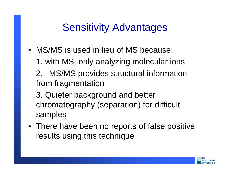## Sensitivity Advantages

- MS/MS is used in lieu of MS because:
	- 1. with MS, only analyzing molecular ions
	- 2. MS/MS provides structural information from fragmentation
	- 3. Quieter background and better chromatography (separation) for difficult samples
- There have been no reports of false positive results using this technique

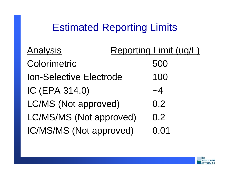## Estimated Reporting Limits

| <b>Analysis</b>                | Reporting Limit (ug/L) |
|--------------------------------|------------------------|
| Colorimetric                   | 500                    |
| <b>Ion-Selective Electrode</b> | 100                    |
| IC (EPA 314.0)                 | $\sim$ 4               |
| <b>LC/MS (Not approved)</b>    | 0.2                    |
| LC/MS/MS (Not approved)        | 0.2                    |
| IC/MS/MS (Not approved)        | 0.01                   |

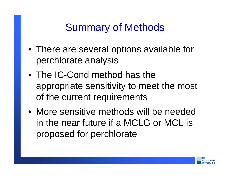### Summary of Methods

- There are several options available for perchlorate analysis
- The IC-Cond method has the appropriate sensitivity to meet the most of the current requirements
- More sensitive methods will be neededin the near future if a MCLG or MCL is proposed for perchlorate

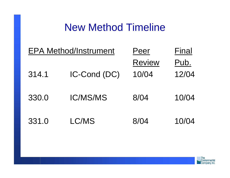#### New Method Timeline

| <b>EPA Method/Instrument</b> |                 | Peer          | Final |
|------------------------------|-----------------|---------------|-------|
|                              |                 | <b>Review</b> | Pub.  |
| 314.1                        | IC-Cond (DC)    | 10/04         | 12/04 |
| 330.0                        | <b>IC/MS/MS</b> | 8/04          | 10/04 |
| 331.0                        | LC/MS           | 8/04          | 10/04 |

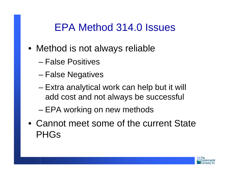### EPA Method 314.0 Issues

- Method is not always reliable
	- False Positives
	- –False Negatives
	- – Extra analytical work can help but it will add cost and not always be successful
	- –EPA working on new methods
- Cannot meet some of the current State PHGs

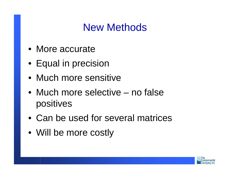### New Methods

- More accurate
- Equal in precision
- Much more sensitive
- Much more selective no falsepositives
- Can be used for several matrices
- Will be more costly

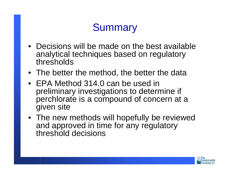# **Summary**

- Decisions will be made on the best availableanalytical techniques based on regulatory thresholds
- The better the method, the better the data
- EPA Method 314.0 can be used inpreliminary investigations to determine if perchlorate is a compound of concern at a given site
- The new methods will hopefully be reviewed and approved in time for any regulatory threshold decisions

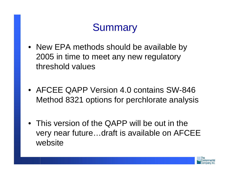# **Summary**

- New EPA methods should be available by 2005 in time to meet any new regulatory threshold values
- AFCEE QAPP Version 4.0 contains SW-846 Method 8321 options for perchlorate analysis
- This version of the QAPP will be out in the very near future…draft is available on AFCEE website

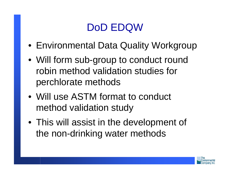# DoD EDQW

- Environmental Data Quality Workgroup
- Will form sub-group to conduct round robin method validation studies for perchlorate methods
- Will use ASTM format to conduct method validation study
- This will assist in the development of the non-drinking water methods

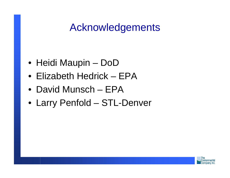### Acknowledgements

- Heidi Maupin DoD
- Elizabeth Hedrick EPA
- David Munsch EPA
- Larry Penfold STL-Denver